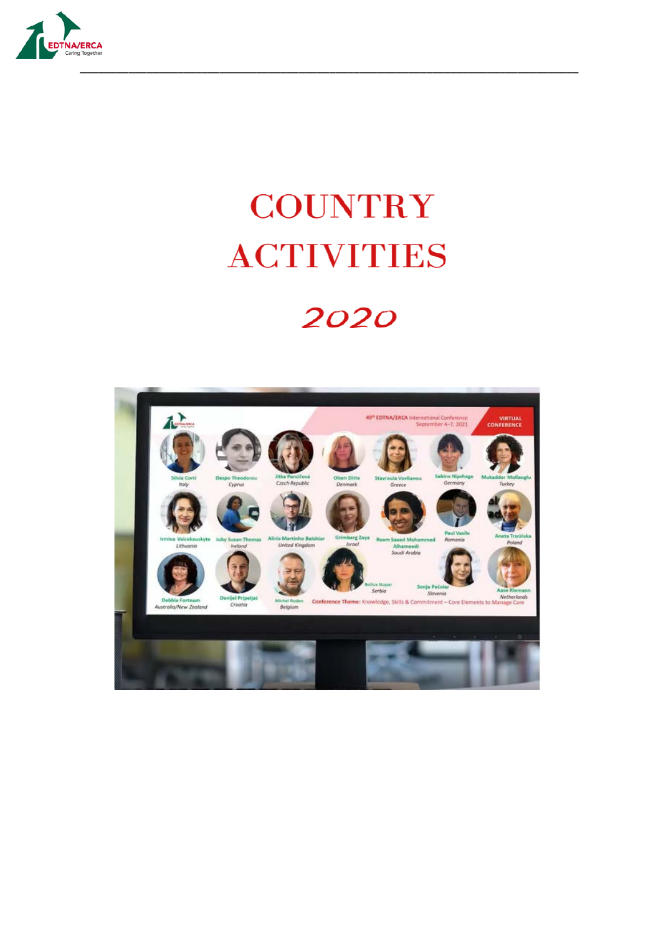

## **COUNTRY ACTIVITIES**

## 2020

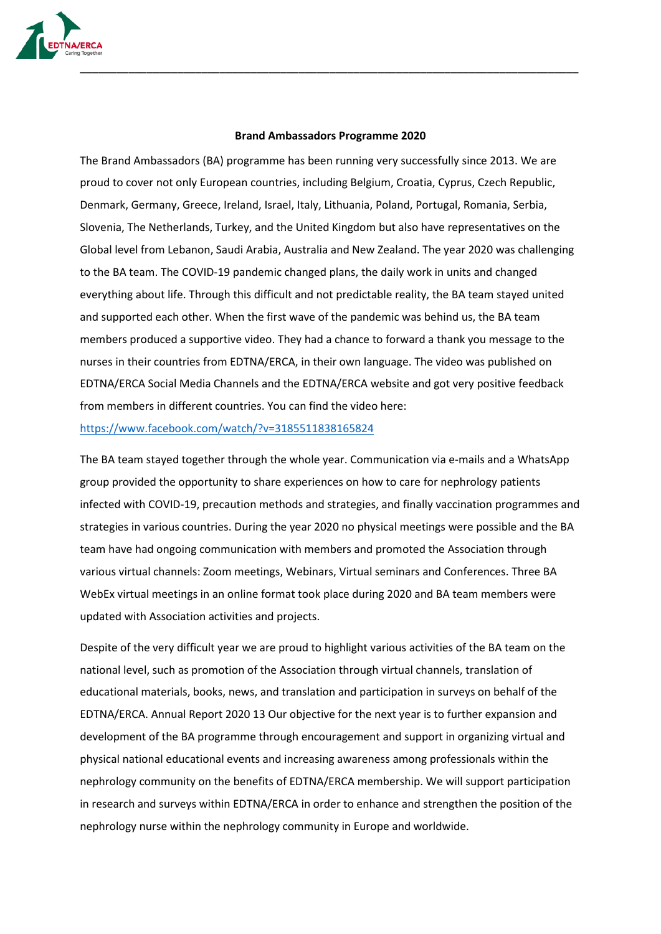

## **Brand Ambassadors Programme 2020**

The Brand Ambassadors (BA) programme has been running very successfully since 2013. We are proud to cover not only European countries, including Belgium, Croatia, Cyprus, Czech Republic, Denmark, Germany, Greece, Ireland, Israel, Italy, Lithuania, Poland, Portugal, Romania, Serbia, Slovenia, The Netherlands, Turkey, and the United Kingdom but also have representatives on the Global level from Lebanon, Saudi Arabia, Australia and New Zealand. The year 2020 was challenging to the BA team. The COVID-19 pandemic changed plans, the daily work in units and changed everything about life. Through this difficult and not predictable reality, the BA team stayed united and supported each other. When the first wave of the pandemic was behind us, the BA team members produced a supportive video. They had a chance to forward a thank you message to the nurses in their countries from EDTNA/ERCA, in their own language. The video was published on EDTNA/ERCA Social Media Channels and the EDTNA/ERCA website and got very positive feedback from members in different countries. You can find the video here:

<https://www.facebook.com/watch/?v=3185511838165824>

The BA team stayed together through the whole year. Communication via e-mails and a WhatsApp group provided the opportunity to share experiences on how to care for nephrology patients infected with COVID-19, precaution methods and strategies, and finally vaccination programmes and strategies in various countries. During the year 2020 no physical meetings were possible and the BA team have had ongoing communication with members and promoted the Association through various virtual channels: Zoom meetings, Webinars, Virtual seminars and Conferences. Three BA WebEx virtual meetings in an online format took place during 2020 and BA team members were updated with Association activities and projects.

Despite of the very difficult year we are proud to highlight various activities of the BA team on the national level, such as promotion of the Association through virtual channels, translation of educational materials, books, news, and translation and participation in surveys on behalf of the EDTNA/ERCA. Annual Report 2020 13 Our objective for the next year is to further expansion and development of the BA programme through encouragement and support in organizing virtual and physical national educational events and increasing awareness among professionals within the nephrology community on the benefits of EDTNA/ERCA membership. We will support participation in research and surveys within EDTNA/ERCA in order to enhance and strengthen the position of the nephrology nurse within the nephrology community in Europe and worldwide.